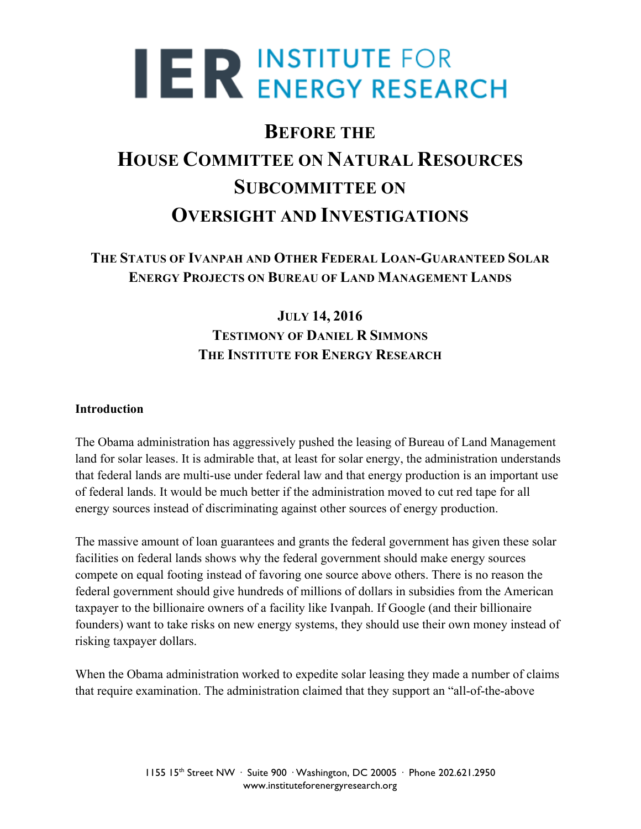# **IER INSTITUTE FOR<br>
ER ENERGY RESEARCH**

# **BEFORE THE HOUSE COMMITTEE ON NATURAL RESOURCES SUBCOMMITTEE ON OVERSIGHT AND INVESTIGATIONS**

## **THE STATUS OF IVANPAH AND OTHER FEDERAL LOAN-GUARANTEED SOLAR ENERGY PROJECTS ON BUREAU OF LAND MANAGEMENT LANDS**

# **JULY 14, 2016 TESTIMONY OF DANIEL R SIMMONS THE INSTITUTE FOR ENERGY RESEARCH**

### **Introduction**

The Obama administration has aggressively pushed the leasing of Bureau of Land Management land for solar leases. It is admirable that, at least for solar energy, the administration understands that federal lands are multi-use under federal law and that energy production is an important use of federal lands. It would be much better if the administration moved to cut red tape for all energy sources instead of discriminating against other sources of energy production.

The massive amount of loan guarantees and grants the federal government has given these solar facilities on federal lands shows why the federal government should make energy sources compete on equal footing instead of favoring one source above others. There is no reason the federal government should give hundreds of millions of dollars in subsidies from the American taxpayer to the billionaire owners of a facility like Ivanpah. If Google (and their billionaire founders) want to take risks on new energy systems, they should use their own money instead of risking taxpayer dollars.

When the Obama administration worked to expedite solar leasing they made a number of claims that require examination. The administration claimed that they support an "all-of-the-above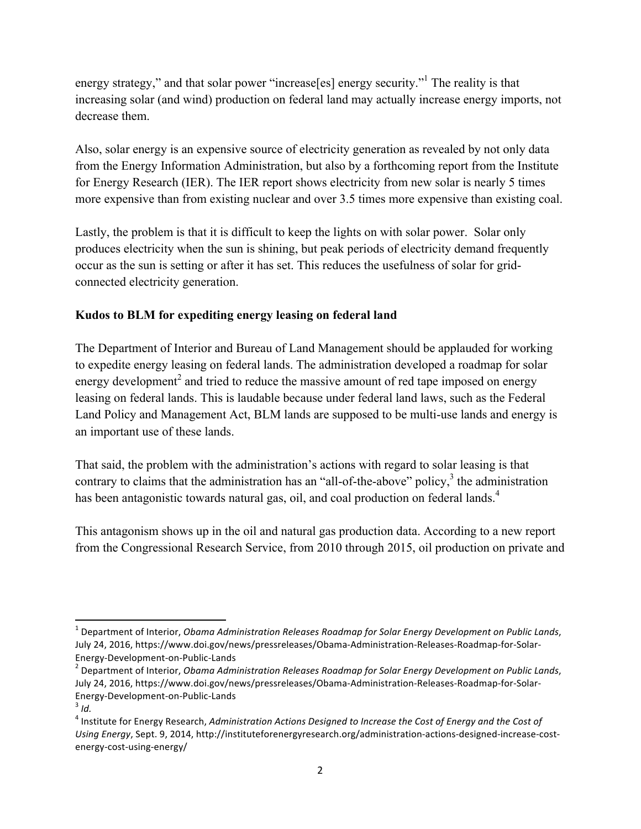energy strategy," and that solar power "increase[es] energy security."<sup>1</sup> The reality is that increasing solar (and wind) production on federal land may actually increase energy imports, not decrease them.

Also, solar energy is an expensive source of electricity generation as revealed by not only data from the Energy Information Administration, but also by a forthcoming report from the Institute for Energy Research (IER). The IER report shows electricity from new solar is nearly 5 times more expensive than from existing nuclear and over 3.5 times more expensive than existing coal.

Lastly, the problem is that it is difficult to keep the lights on with solar power. Solar only produces electricity when the sun is shining, but peak periods of electricity demand frequently occur as the sun is setting or after it has set. This reduces the usefulness of solar for gridconnected electricity generation.

#### **Kudos to BLM for expediting energy leasing on federal land**

The Department of Interior and Bureau of Land Management should be applauded for working to expedite energy leasing on federal lands. The administration developed a roadmap for solar energy development<sup>2</sup> and tried to reduce the massive amount of red tape imposed on energy leasing on federal lands. This is laudable because under federal land laws, such as the Federal Land Policy and Management Act, BLM lands are supposed to be multi-use lands and energy is an important use of these lands.

That said, the problem with the administration's actions with regard to solar leasing is that contrary to claims that the administration has an "all-of-the-above" policy, $3$  the administration has been antagonistic towards natural gas, oil, and coal production on federal lands.<sup>4</sup>

This antagonism shows up in the oil and natural gas production data. According to a new report from the Congressional Research Service, from 2010 through 2015, oil production on private and

 

<sup>&</sup>lt;sup>1</sup> Department of Interior, *Obama Administration Releases Roadmap for Solar Energy Development on Public Lands,* July 24, 2016, https://www.doi.gov/news/pressreleases/Obama-Administration-Releases-Roadmap-for-Solar-Energy-Development-on-Public-Lands<br><sup>2</sup> Department of Interior, *Obama Administration Releases Roadmap for Solar Energy Development on Public Lands,* 

July 24, 2016, https://www.doi.gov/news/pressreleases/Obama-Administration-Releases-Roadmap-for-Solar-Energy-Development-on-Public-Lands <sup>3</sup> *Id.* 

<sup>&</sup>lt;sup>4</sup> Institute for Energy Research, *Administration Actions Designed to Increase the Cost of Energy and the Cost of* Using Energy, Sept. 9, 2014, http://instituteforenergyresearch.org/administration-actions-designed-increase-costenergy-cost-using-energy/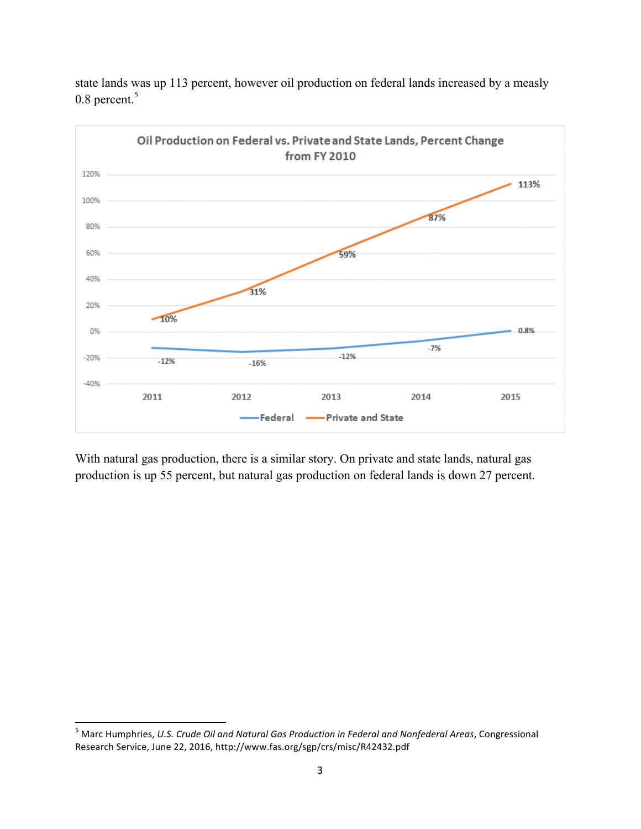

state lands was up 113 percent, however oil production on federal lands increased by a measly 0.8 percent.<sup>5</sup>

With natural gas production, there is a similar story. On private and state lands, natural gas production is up 55 percent, but natural gas production on federal lands is down 27 percent.

<sup>&</sup>lt;sup>5</sup> Marc Humphries, U.S. Crude Oil and Natural Gas Production in Federal and Nonfederal Areas, Congressional Research Service, June 22, 2016, http://www.fas.org/sgp/crs/misc/R42432.pdf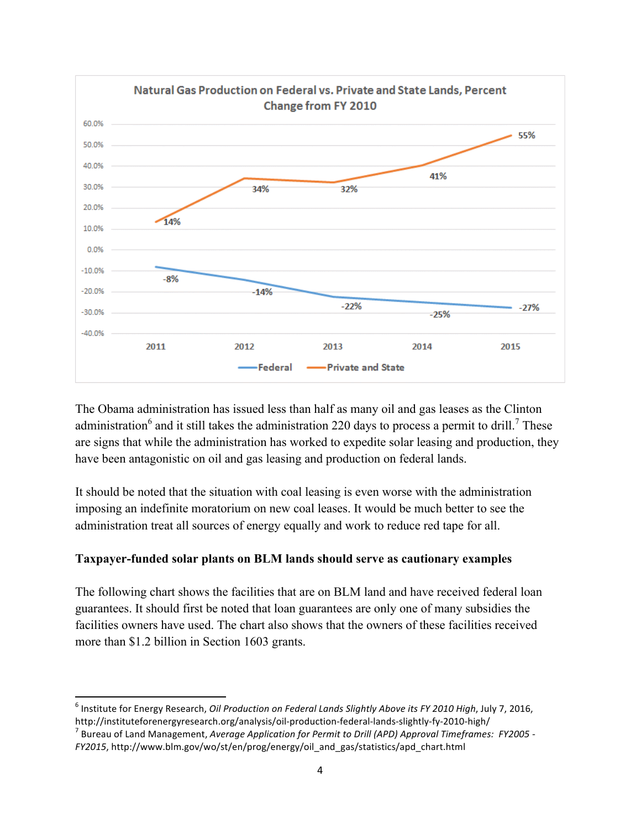

The Obama administration has issued less than half as many oil and gas leases as the Clinton administration<sup>6</sup> and it still takes the administration 220 days to process a permit to drill.<sup>7</sup> These are signs that while the administration has worked to expedite solar leasing and production, they have been antagonistic on oil and gas leasing and production on federal lands.

It should be noted that the situation with coal leasing is even worse with the administration imposing an indefinite moratorium on new coal leases. It would be much better to see the administration treat all sources of energy equally and work to reduce red tape for all.

### **Taxpayer-funded solar plants on BLM lands should serve as cautionary examples**

The following chart shows the facilities that are on BLM land and have received federal loan guarantees. It should first be noted that loan guarantees are only one of many subsidies the facilities owners have used. The chart also shows that the owners of these facilities received more than \$1.2 billion in Section 1603 grants.

<sup>&</sup>lt;u> 1989 - Jan Samuel Barbara, margaret e</u> <sup>6</sup> Institute for Energy Research, *Oil Production on Federal Lands Slightly Above its FY 2010 High*, July 7, 2016, http://instituteforenergyresearch.org/analysis/oil-production-federal-lands-slightly-fy-2010-high/<br><sup>7</sup> Bureau of Land Management, *Average Application for Permit to Drill (APD) Approval Timeframes: FY2005* -

*FY2015*, http://www.blm.gov/wo/st/en/prog/energy/oil\_and\_gas/statistics/apd\_chart.html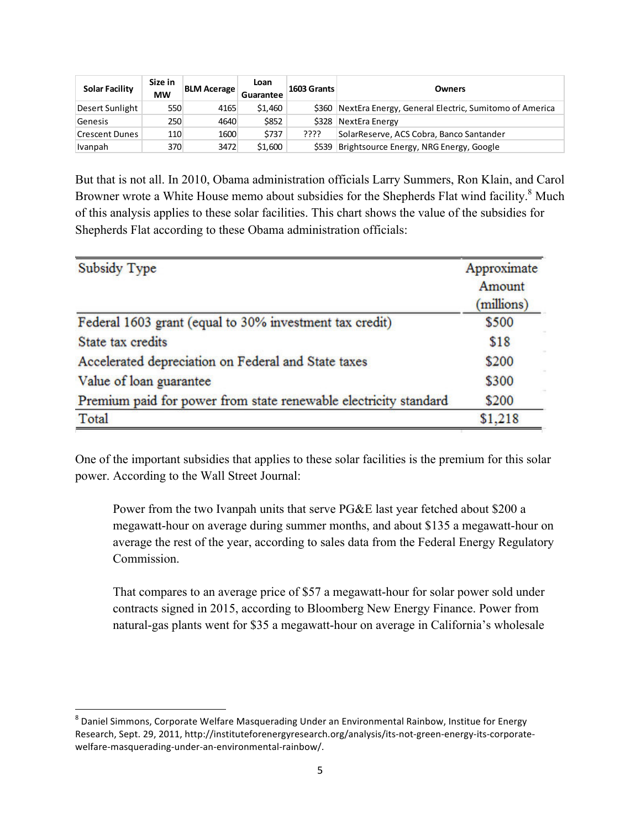| <b>Solar Facility</b> | Size in<br><b>MW</b> | <b>BLM Acerage</b> | Loan<br>Guarantee | 1603 Grants | <b>Owners</b>                                               |  |  |
|-----------------------|----------------------|--------------------|-------------------|-------------|-------------------------------------------------------------|--|--|
| Desert Sunlight       | 550                  | 4165               | \$1,460           |             | \$360 NextEra Energy, General Electric, Sumitomo of America |  |  |
| Genesis               | 250                  | 4640               | \$852             | \$328       | NextEra Energy                                              |  |  |
| Crescent Dunes        | 110                  | 1600               | \$737             | ????        | SolarReserve, ACS Cobra, Banco Santander                    |  |  |
| Ivanpah               | 370                  | 3472               | \$1,600           | \$539       | Brightsource Energy, NRG Energy, Google                     |  |  |

But that is not all. In 2010, Obama administration officials Larry Summers, Ron Klain, and Carol Browner wrote a White House memo about subsidies for the Shepherds Flat wind facility.<sup>8</sup> Much of this analysis applies to these solar facilities. This chart shows the value of the subsidies for Shepherds Flat according to these Obama administration officials:

| <b>Subsidy Type</b>                                              | Approximate<br>Amount<br>(millions) |
|------------------------------------------------------------------|-------------------------------------|
| Federal 1603 grant (equal to 30% investment tax credit)          | \$500                               |
| State tax credits                                                | \$18                                |
| Accelerated depreciation on Federal and State taxes              | \$200                               |
| Value of loan guarantee                                          | \$300                               |
| Premium paid for power from state renewable electricity standard | \$200                               |
| Total                                                            | \$1,218                             |

One of the important subsidies that applies to these solar facilities is the premium for this solar power. According to the Wall Street Journal:

Power from the two Ivanpah units that serve PG&E last year fetched about \$200 a megawatt-hour on average during summer months, and about \$135 a megawatt-hour on average the rest of the year, according to sales data from the Federal Energy Regulatory Commission.

That compares to an average price of \$57 a megawatt-hour for solar power sold under contracts signed in 2015, according to Bloomberg New Energy Finance. Power from natural-gas plants went for \$35 a megawatt-hour on average in California's wholesale

 $8$  Daniel Simmons, Corporate Welfare Masquerading Under an Environmental Rainbow, Institue for Energy Research, Sept. 29, 2011, http://instituteforenergyresearch.org/analysis/its-not-green-energy-its-corporatewelfare-masquerading-under-an-environmental-rainbow/.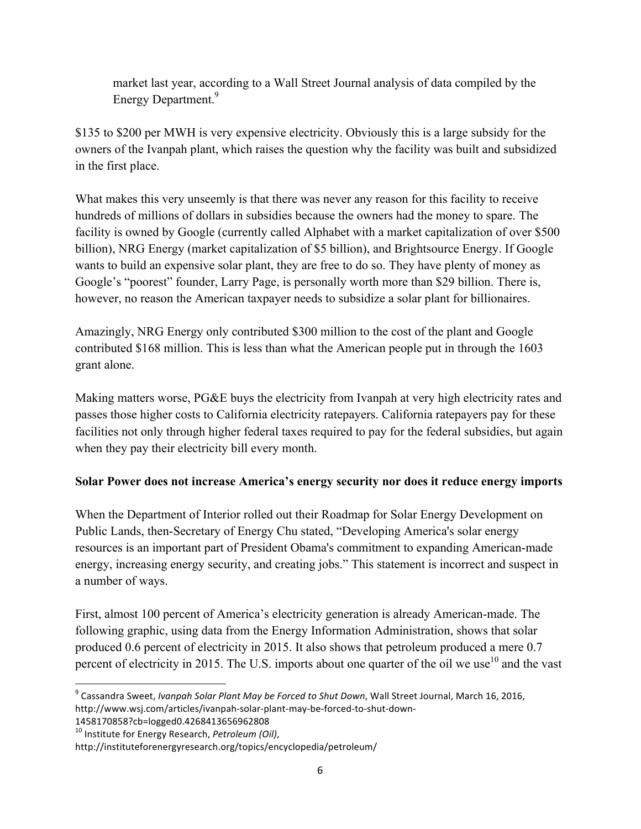market last year, according to a Wall Street Journal analysis of data compiled by the Energy Department.<sup>9</sup>

\$135 to \$200 per MWH is very expensive electricity. Obviously this is a large subsidy for the owners of the Ivanpah plant, which raises the question why the facility was built and subsidized in the first place.

What makes this very unseemly is that there was never any reason for this facility to receive hundreds of millions of dollars in subsidies because the owners had the money to spare. The facility is owned by Google (currently called Alphabet with a market capitalization of over \$500 billion), NRG Energy (market capitalization of \$5 billion), and Brightsource Energy. If Google wants to build an expensive solar plant, they are free to do so. They have plenty of money as Google's "poorest" founder, Larry Page, is personally worth more than \$29 billion. There is, however, no reason the American taxpayer needs to subsidize a solar plant for billionaires.

Amazingly, NRG Energy only contributed \$300 million to the cost of the plant and Google contributed \$168 million. This is less than what the American people put in through the 1603 grant alone.

Making matters worse, PG&E buys the electricity from Ivanpah at very high electricity rates and passes those higher costs to California electricity ratepayers. California ratepayers pay for these facilities not only through higher federal taxes required to pay for the federal subsidies, but again when they pay their electricity bill every month.

### **Solar Power does not increase America's energy security nor does it reduce energy imports**

When the Department of Interior rolled out their Roadmap for Solar Energy Development on Public Lands, then-Secretary of Energy Chu stated, "Developing America's solar energy resources is an important part of President Obama's commitment to expanding American-made energy, increasing energy security, and creating jobs." This statement is incorrect and suspect in a number of ways.

First, almost 100 percent of America's electricity generation is already American-made. The following graphic, using data from the Energy Information Administration, shows that solar produced 0.6 percent of electricity in 2015. It also shows that petroleum produced a mere 0.7 percent of electricity in 2015. The U.S. imports about one quarter of the oil we use<sup>10</sup> and the vast

1458170858?cb=logged0.4268413656962808

<sup>&</sup>lt;sup>9</sup> Cassandra Sweet, *Ivanpah Solar Plant May be Forced to Shut Down*, Wall Street Journal, March 16, 2016, http://www.wsj.com/articles/ivanpah-solar-plant-may-be-forced-to-shut-down-

<sup>&</sup>lt;sup>10</sup> Institute for Energy Research, *Petroleum (Oil)*,

http://instituteforenergyresearch.org/topics/encyclopedia/petroleum/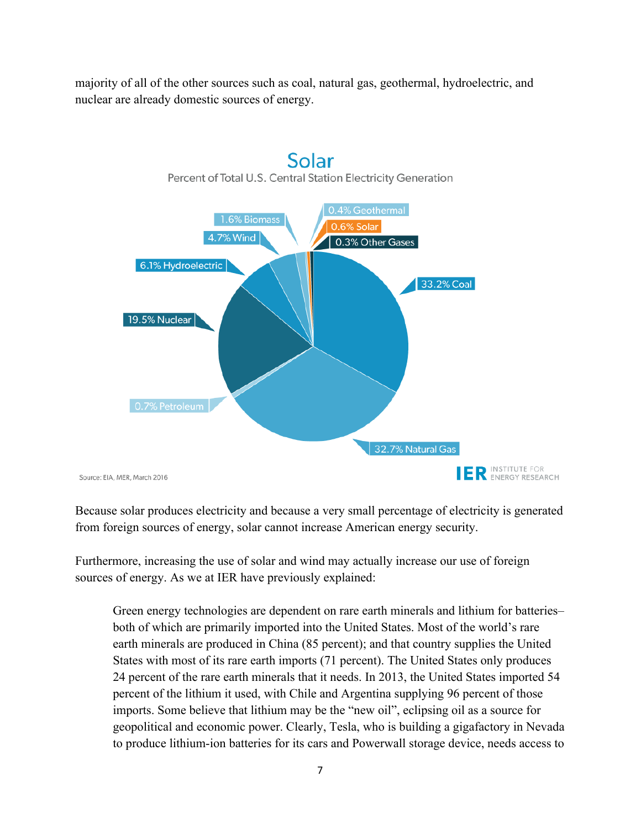majority of all of the other sources such as coal, natural gas, geothermal, hydroelectric, and nuclear are already domestic sources of energy.



Solar

Because solar produces electricity and because a very small percentage of electricity is generated from foreign sources of energy, solar cannot increase American energy security.

Furthermore, increasing the use of solar and wind may actually increase our use of foreign sources of energy. As we at IER have previously explained:

Green energy technologies are dependent on rare earth minerals and lithium for batteries– both of which are primarily imported into the United States. Most of the world's rare earth minerals are produced in China (85 percent); and that country supplies the United States with most of its rare earth imports (71 percent). The United States only produces 24 percent of the rare earth minerals that it needs. In 2013, the United States imported 54 percent of the lithium it used, with Chile and Argentina supplying 96 percent of those imports. Some believe that lithium may be the "new oil", eclipsing oil as a source for geopolitical and economic power. Clearly, Tesla, who is building a gigafactory in Nevada to produce lithium-ion batteries for its cars and Powerwall storage device, needs access to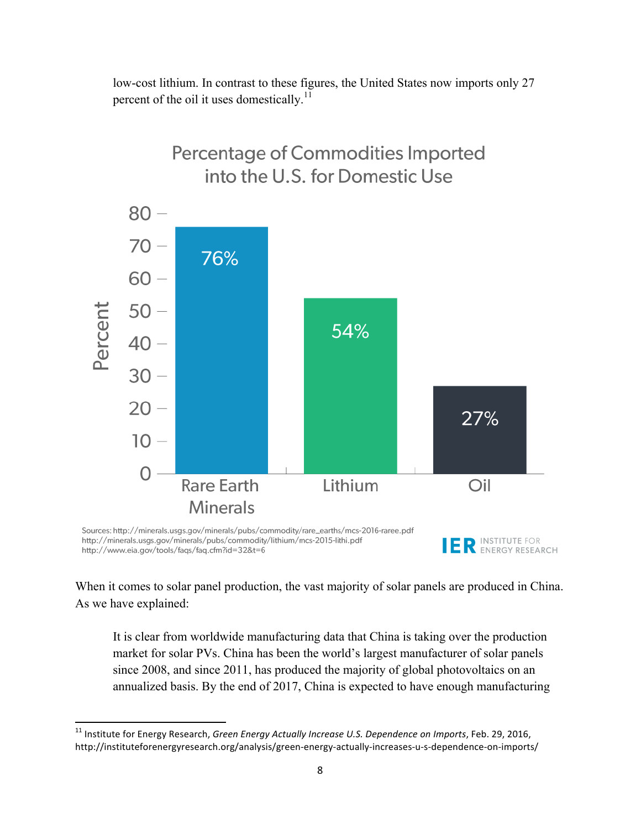low-cost lithium. In contrast to these figures, the United States now imports only 27 percent of the oil it uses domestically.<sup>11</sup>



http://www.eia.gov/tools/faqs/faq.cfm?id=32&t=6

When it comes to solar panel production, the vast majority of solar panels are produced in China.

ENERGY RESEARCH

As we have explained:

<u> 1989 - Jan Samuel Barbara, margaret e</u>

It is clear from worldwide manufacturing data that China is taking over the production market for solar PVs. China has been the world's largest manufacturer of solar panels since 2008, and since 2011, has produced the majority of global photovoltaics on an annualized basis. By the end of 2017, China is expected to have enough manufacturing

<sup>&</sup>lt;sup>11</sup> Institute for Energy Research, *Green Energy Actually Increase U.S. Dependence on Imports*, Feb. 29, 2016, http://instituteforenergyresearch.org/analysis/green-energy-actually-increases-u-s-dependence-on-imports/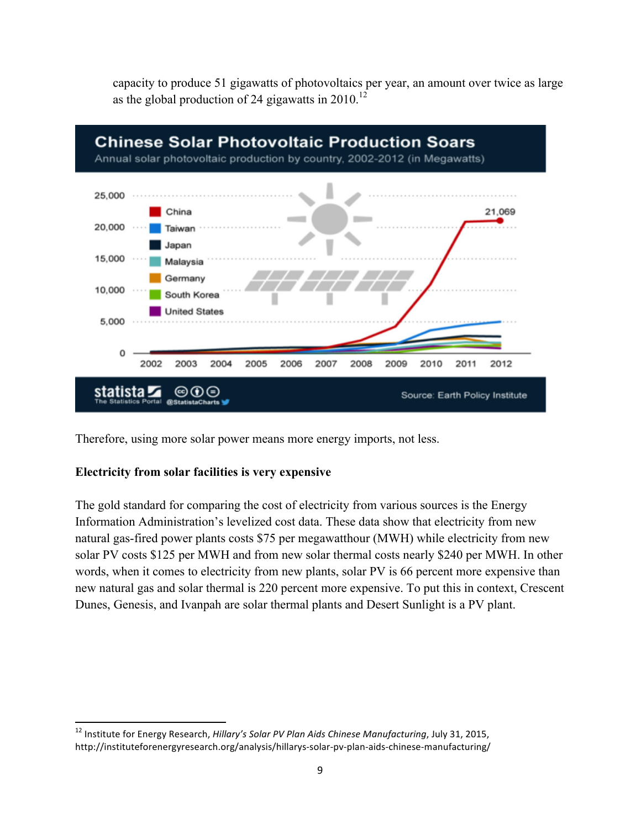

capacity to produce 51 gigawatts of photovoltaics per year, an amount over twice as large as the global production of 24 gigawatts in 2010.<sup>12</sup>

Therefore, using more solar power means more energy imports, not less.

#### **Electricity from solar facilities is very expensive**

<u> 1989 - Jan Samuel Barbara, margaret e</u>

The gold standard for comparing the cost of electricity from various sources is the Energy Information Administration's levelized cost data. These data show that electricity from new natural gas-fired power plants costs \$75 per megawatthour (MWH) while electricity from new solar PV costs \$125 per MWH and from new solar thermal costs nearly \$240 per MWH. In other words, when it comes to electricity from new plants, solar PV is 66 percent more expensive than new natural gas and solar thermal is 220 percent more expensive. To put this in context, Crescent Dunes, Genesis, and Ivanpah are solar thermal plants and Desert Sunlight is a PV plant.

<sup>&</sup>lt;sup>12</sup> Institute for Energy Research, *Hillary's Solar PV Plan Aids Chinese Manufacturing*, July 31, 2015, http://instituteforenergyresearch.org/analysis/hillarys-solar-pv-plan-aids-chinese-manufacturing/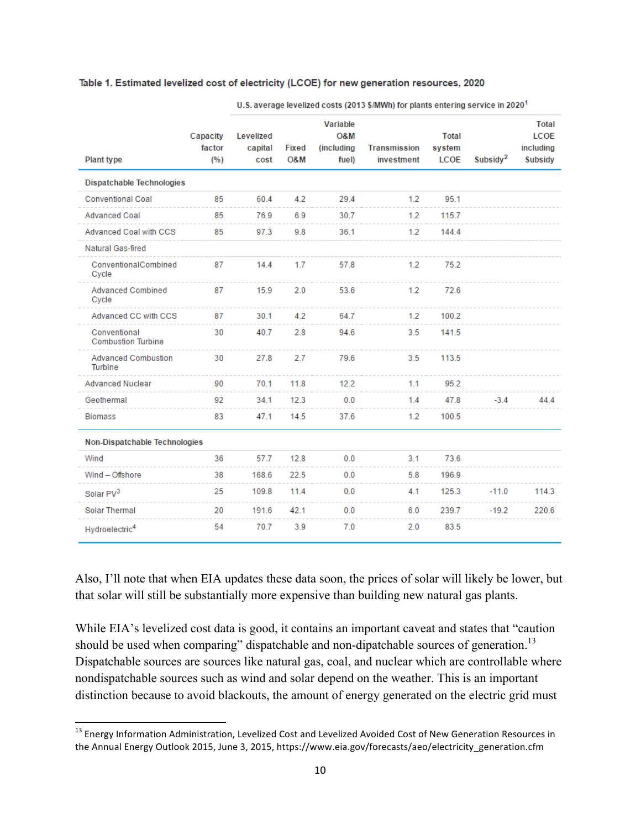#### Table 1. Estimated levelized cost of electricity (LCOE) for new generation resources, 2020

|                                           | Capacity<br>factor<br>(%) |                              |                     |                                        |                            |                                |                      |                                                     |  |  |
|-------------------------------------------|---------------------------|------------------------------|---------------------|----------------------------------------|----------------------------|--------------------------------|----------------------|-----------------------------------------------------|--|--|
| <b>Plant type</b>                         |                           | Levelized<br>capital<br>cost | <b>Fixed</b><br>O&M | Variable<br>08M<br>(including<br>fuel) | Transmission<br>investment | <b>Total</b><br>system<br>LCOE | Subsidy <sup>2</sup> | <b>Total</b><br><b>LCOE</b><br>including<br>Subsidy |  |  |
| <b>Dispatchable Technologies</b>          |                           |                              |                     |                                        |                            |                                |                      |                                                     |  |  |
| <b>Conventional Coal</b>                  | 85                        | 60.4                         | 4.2                 | 29.4                                   | 1.2                        | 95.1                           |                      |                                                     |  |  |
| <b>Advanced Coal</b>                      | 85                        | 76.9                         | 6.9                 | 30.7                                   | 1.2                        | 115.7                          |                      |                                                     |  |  |
| Advanced Coal with CCS                    | 85                        | 97.3                         | 9.8                 | 36.1                                   | 1.2                        | 144.4                          |                      |                                                     |  |  |
| Natural Gas-fired                         |                           |                              |                     |                                        |                            |                                |                      |                                                     |  |  |
| ConventionalCombined<br>Cycle             | 87                        | 14.4                         | 1.7                 | 57.8                                   | 1.2                        | 75.2                           |                      |                                                     |  |  |
| <b>Advanced Combined</b><br>Cycle         | 87                        | 15.9                         | 2.0                 | 53.6                                   | 1.2                        | 72.6                           |                      |                                                     |  |  |
| Advanced CC with CCS                      | 87                        | 30.1                         | 4.2                 | 64.7                                   | 1.2                        | 100.2                          |                      |                                                     |  |  |
| Conventional<br><b>Combustion Turbine</b> | 30                        | 40.7                         | 2.8                 | 94.6                                   | 3.5                        | 141.5                          |                      |                                                     |  |  |
| <b>Advanced Combustion</b><br>Turbine     | 30                        | 27.8                         | 2.7                 | 79.6                                   | 3.5                        | 113.5                          |                      |                                                     |  |  |
| <b>Advanced Nuclear</b>                   | 90                        | 70.1                         | 11.8                | 12.2                                   | 1.1                        | 95.2                           |                      |                                                     |  |  |
| Geothermal                                | 92                        | 34.1                         | 12.3                | 0.0                                    | 1.4                        | 47.8                           | $-3.4$               | 44.4                                                |  |  |
| <b>Biomass</b>                            | 83                        | 47.1                         | 14.5                | 37.6                                   | 1.2                        | 100.5                          |                      |                                                     |  |  |
| Non-Dispatchable Technologies             |                           |                              |                     |                                        |                            |                                |                      |                                                     |  |  |
| Wind                                      | 36                        | 57.7                         | 12.8                | 0.0                                    | 3.1                        | 73.6                           |                      |                                                     |  |  |
| Wind - Offshore                           | 38                        | 168.6                        | 22.5                | 0.0                                    | 5.8                        | 196.9                          |                      |                                                     |  |  |
| Solar PV <sup>3</sup>                     | 25                        | 109.8                        | 11.4                | 0.0                                    | 4.1                        | 125.3                          | $-11.0$              | 114.3                                               |  |  |
| <b>Solar Thermal</b>                      | 20                        | 191.6                        | 42.1                | 0.0                                    | 6.0                        | 239.7                          | $-19.2$              | 220.6                                               |  |  |
| Hydroelectric <sup>4</sup>                | 54                        | 70.7                         | 3.9                 | 7.0                                    | 2.0                        | 83.5                           |                      |                                                     |  |  |

U.S. average levelized costs (2013 \$/MWh) for plants entering service in 2020<sup>1</sup>

Also, I'll note that when EIA updates these data soon, the prices of solar will likely be lower, but that solar will still be substantially more expensive than building new natural gas plants.

While EIA's levelized cost data is good, it contains an important caveat and states that "caution" should be used when comparing" dispatchable and non-dipatchable sources of generation.<sup>13</sup> Dispatchable sources are sources like natural gas, coal, and nuclear which are controllable where nondispatchable sources such as wind and solar depend on the weather. This is an important distinction because to avoid blackouts, the amount of energy generated on the electric grid must

 $^{13}$  Energy Information Administration, Levelized Cost and Levelized Avoided Cost of New Generation Resources in the Annual Energy Outlook 2015, June 3, 2015, https://www.eia.gov/forecasts/aeo/electricity\_generation.cfm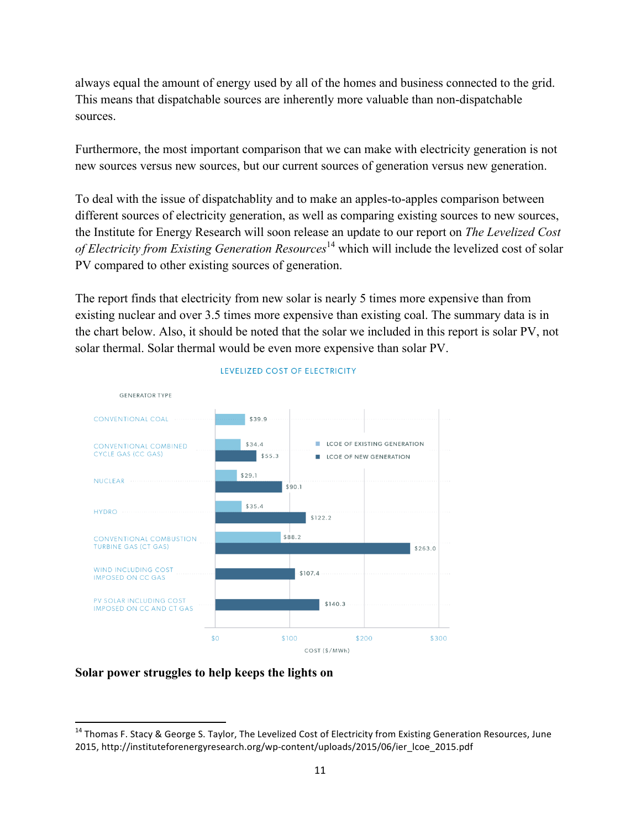always equal the amount of energy used by all of the homes and business connected to the grid. This means that dispatchable sources are inherently more valuable than non-dispatchable sources.

Furthermore, the most important comparison that we can make with electricity generation is not new sources versus new sources, but our current sources of generation versus new generation.

To deal with the issue of dispatchablity and to make an apples-to-apples comparison between different sources of electricity generation, as well as comparing existing sources to new sources, the Institute for Energy Research will soon release an update to our report on *The Levelized Cost of Electricity from Existing Generation Resources*<sup>14</sup> which will include the levelized cost of solar PV compared to other existing sources of generation.

The report finds that electricity from new solar is nearly 5 times more expensive than from existing nuclear and over 3.5 times more expensive than existing coal. The summary data is in the chart below. Also, it should be noted that the solar we included in this report is solar PV, not solar thermal. Solar thermal would be even more expensive than solar PV.



#### LEVELIZED COST OF ELECTRICITY

#### **Solar power struggles to help keeps the lights on**

<sup>&</sup>lt;sup>14</sup> Thomas F. Stacy & George S. Taylor, The Levelized Cost of Electricity from Existing Generation Resources, June 2015, http://instituteforenergyresearch.org/wp-content/uploads/2015/06/ier\_lcoe\_2015.pdf